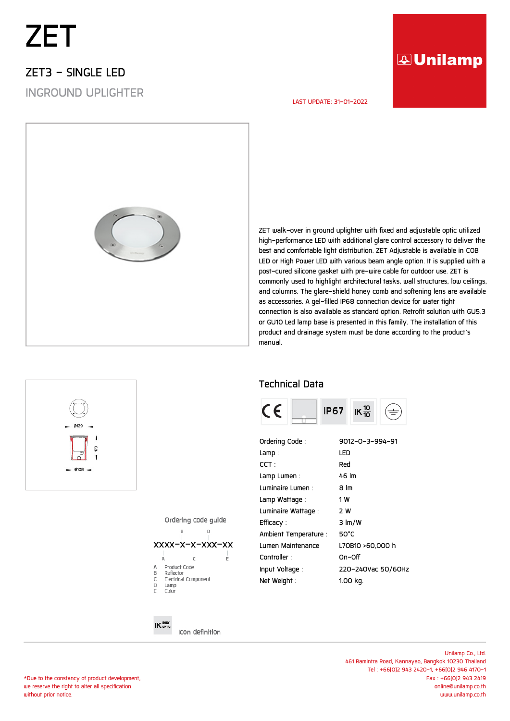# *ZET*

### *ZET3 - SINGLE LED*

*INGROUND UPLIGHTER*

## **AUnilamp**

#### *LAST UPDATE: 31-01-2022*



*ZET walk-over in ground uplighter with fixed and adjustable optic utilized high-performance LED with additional glare control accessory to deliver the best and comfortable light distribution. ZET Adjustable is available in COB LED or High Power LED with various beam angle option. It is supplied with a post-cured silicone gasket with pre-wire cable for outdoor use. ZET is commonly used to highlight architectural tasks, wall structures, low ceilings, and columns. The glare-shield honey comb and softening lens are available as accessories. A gel-filled IP68 connection device for water tight connection is also available as standard option. Retrofit solution with GU5.3 or GU10 Led lamp base is presented in this family. The installation of this product and drainage system must be done according to the product's manual.*

#### *Technical Data*



| Ordering Code:        | 9012-0-3-994-91    |
|-----------------------|--------------------|
| Lamp:                 | LED                |
| $CCT$ :               | Red                |
| Lamp Lumen:           | 46 lm              |
| Luminaire Lumen :     | 8 lm               |
| Lamp Wattage :        | 1 W                |
| Luminaire Wattage :   | 2 W                |
| Efficacy :            | $3 \ln/W$          |
| Ambient Temperature : | 50°C               |
| Lumen Maintenance     | L70B10 >60.000 h   |
| Controller:           | On-Off             |
| Input Voltage:        | 220-240Vac 50/60Hz |
| Net Weight:           | 1.00 kg.           |

Ordering code quide



Icon definition

 $IK^{\text{BODY}}_{\text{opTic}}$ 

*\*Due to the constancy of product development, we reserve the right to alter all specification without prior notice.*

*Unilamp Co., Ltd. 461 Ramintra Road, Kannayao, Bangkok 10230 Thailand Tel : +66(0)2 943 2420-1, +66(0)2 946 4170-1 Fax : +66(0)2 943 2419 online@unilamp.co.th www.unilamp.co.th*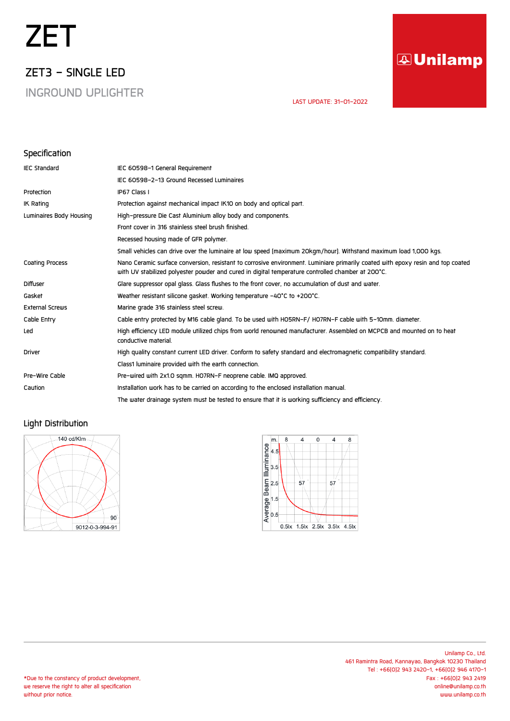# *ZET*

*ZET3 - SINGLE LED*

*INGROUND UPLIGHTER*

## **AUnilamp**

 *LAST UPDATE: 31-01-2022* 

#### *Specification*

| <b>IEC Standard</b>     | IEC 60598-1 General Requirement                                                                                                                                                                                                      |
|-------------------------|--------------------------------------------------------------------------------------------------------------------------------------------------------------------------------------------------------------------------------------|
|                         | IEC 60598-2-13 Ground Recessed Luminaires                                                                                                                                                                                            |
| Protection              | IP67 Class I                                                                                                                                                                                                                         |
| IK Rating               | Protection against mechanical impact IK10 on body and optical part.                                                                                                                                                                  |
| Luminaires Body Housing | High-pressure Die Cast Aluminium alloy body and components.                                                                                                                                                                          |
|                         | Front cover in 316 stainless steel brush finished.                                                                                                                                                                                   |
|                         | Recessed housing made of GFR polymer.                                                                                                                                                                                                |
|                         | Small vehicles can drive over the luminaire at low speed (maximum 20kgm/hour). Withstand maximum load 1,000 kgs.                                                                                                                     |
| <b>Coating Process</b>  | Nano Ceramic surface conversion, resistant to corrosive environment. Luminiare primarily coated with epoxy resin and top coated<br>with UV stabilized polyester powder and cured in digital temperature controlled chamber at 200°C. |
| <b>Diffuser</b>         | Glare suppressor opal glass. Glass flushes to the front cover, no accumulation of dust and water.                                                                                                                                    |
| Gasket                  | Weather resistant silicone gasket. Working temperature -40°C to +200°C.                                                                                                                                                              |
| <b>External Screws</b>  | Marine grade 316 stainless steel screw.                                                                                                                                                                                              |
| Cable Entry             | Cable entry protected by M16 cable gland. To be used with HO5RN-F/HO7RN-F cable with 5-10mm. diameter.                                                                                                                               |
| Led                     | High efficiency LED module utilized chips from world renowned manufacturer. Assembled on MCPCB and mounted on to heat<br>conductive material.                                                                                        |
| Driver                  | High quality constant current LED driver. Conform to safety standard and electromagnetic compatibility standard.                                                                                                                     |
|                         | Class1 luminaire provided with the earth connection.                                                                                                                                                                                 |
| Pre-Wire Cable          | Pre-wired with 2x1.0 sqmm. HO7RN-F neoprene cable. IMQ approved.                                                                                                                                                                     |
| Caution                 | Installation work has to be carried on according to the enclosed installation manual.                                                                                                                                                |
|                         | The water drainage system must be tested to ensure that it is working sufficiency and efficiency.                                                                                                                                    |

#### *Light Distribution*